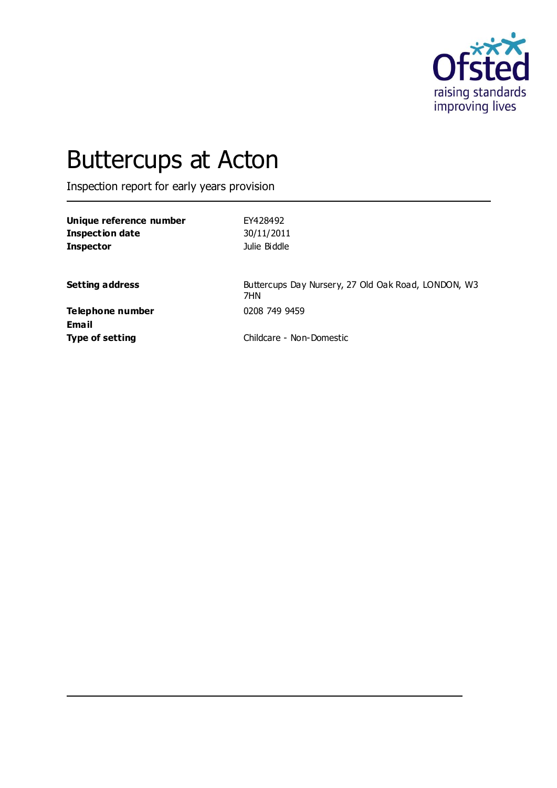

# Buttercups at Acton

Inspection report for early years provision

| EY428492     |
|--------------|
| 30/11/2011   |
| Julie Biddle |
|              |

**Setting address** Buttercups Day Nursery, 27 Old Oak Road, LONDON, W3 7HN

**Telephone number** 0208 749 9459 **Email**

**Type of setting** Childcare - Non-Domestic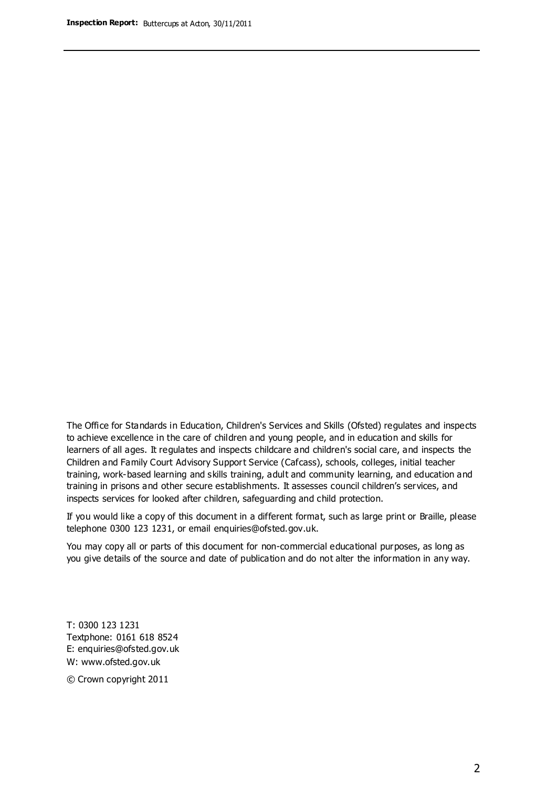The Office for Standards in Education, Children's Services and Skills (Ofsted) regulates and inspects to achieve excellence in the care of children and young people, and in education and skills for learners of all ages. It regulates and inspects childcare and children's social care, and inspects the Children and Family Court Advisory Support Service (Cafcass), schools, colleges, initial teacher training, work-based learning and skills training, adult and community learning, and education and training in prisons and other secure establishments. It assesses council children's services, and inspects services for looked after children, safeguarding and child protection.

If you would like a copy of this document in a different format, such as large print or Braille, please telephone 0300 123 1231, or email enquiries@ofsted.gov.uk.

You may copy all or parts of this document for non-commercial educational purposes, as long as you give details of the source and date of publication and do not alter the information in any way.

T: 0300 123 1231 Textphone: 0161 618 8524 E: enquiries@ofsted.gov.uk W: [www.ofsted.gov.uk](http://www.ofsted.gov.uk/)

© Crown copyright 2011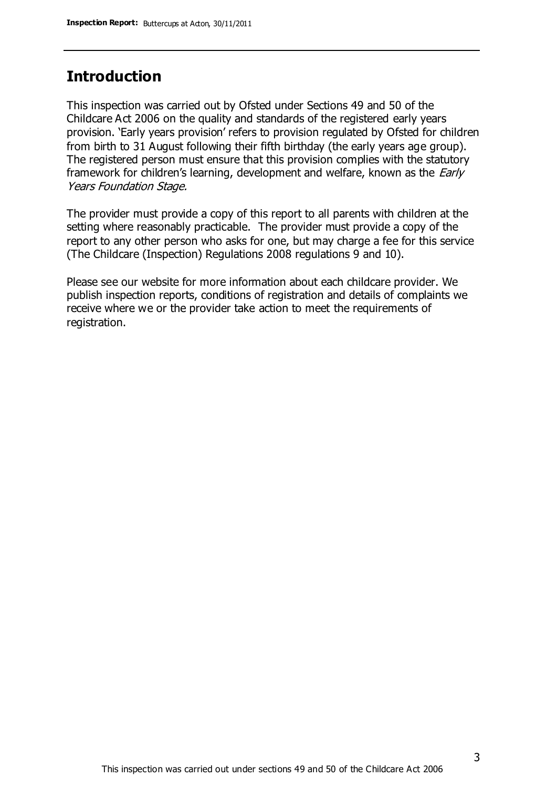## **Introduction**

This inspection was carried out by Ofsted under Sections 49 and 50 of the Childcare Act 2006 on the quality and standards of the registered early years provision. 'Early years provision' refers to provision regulated by Ofsted for children from birth to 31 August following their fifth birthday (the early years age group). The registered person must ensure that this provision complies with the statutory framework for children's learning, development and welfare, known as the *Early* Years Foundation Stage.

The provider must provide a copy of this report to all parents with children at the setting where reasonably practicable. The provider must provide a copy of the report to any other person who asks for one, but may charge a fee for this service (The Childcare (Inspection) Regulations 2008 regulations 9 and 10).

Please see our website for more information about each childcare provider. We publish inspection reports, conditions of registration and details of complaints we receive where we or the provider take action to meet the requirements of registration.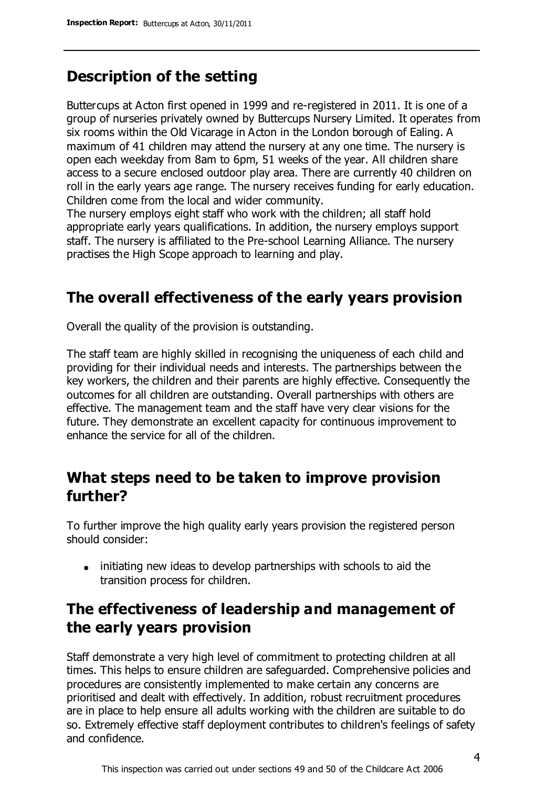# **Description of the setting**

Buttercups at Acton first opened in 1999 and re-registered in 2011. It is one of a group of nurseries privately owned by Buttercups Nursery Limited. It operates from six rooms within the Old Vicarage in Acton in the London borough of Ealing. A maximum of 41 children may attend the nursery at any one time. The nursery is open each weekday from 8am to 6pm, 51 weeks of the year. All children share access to a secure enclosed outdoor play area. There are currently 40 children on roll in the early years age range. The nursery receives funding for early education. Children come from the local and wider community.

The nursery employs eight staff who work with the children; all staff hold appropriate early years qualifications. In addition, the nursery employs support staff. The nursery is affiliated to the Pre-school Learning Alliance. The nursery practises the High Scope approach to learning and play.

## **The overall effectiveness of the early years provision**

Overall the quality of the provision is outstanding.

The staff team are highly skilled in recognising the uniqueness of each child and providing for their individual needs and interests. The partnerships between the key workers, the children and their parents are highly effective. Consequently the outcomes for all children are outstanding. Overall partnerships with others are effective. The management team and the staff have very clear visions for the future. They demonstrate an excellent capacity for continuous improvement to enhance the service for all of the children.

## **What steps need to be taken to improve provision further?**

To further improve the high quality early years provision the registered person should consider:

initiating new ideas to develop partnerships with schools to aid the transition process for children.

# **The effectiveness of leadership and management of the early years provision**

Staff demonstrate a very high level of commitment to protecting children at all times. This helps to ensure children are safeguarded. Comprehensive policies and procedures are consistently implemented to make certain any concerns are prioritised and dealt with effectively. In addition, robust recruitment procedures are in place to help ensure all adults working with the children are suitable to do so. Extremely effective staff deployment contributes to children's feelings of safety and confidence.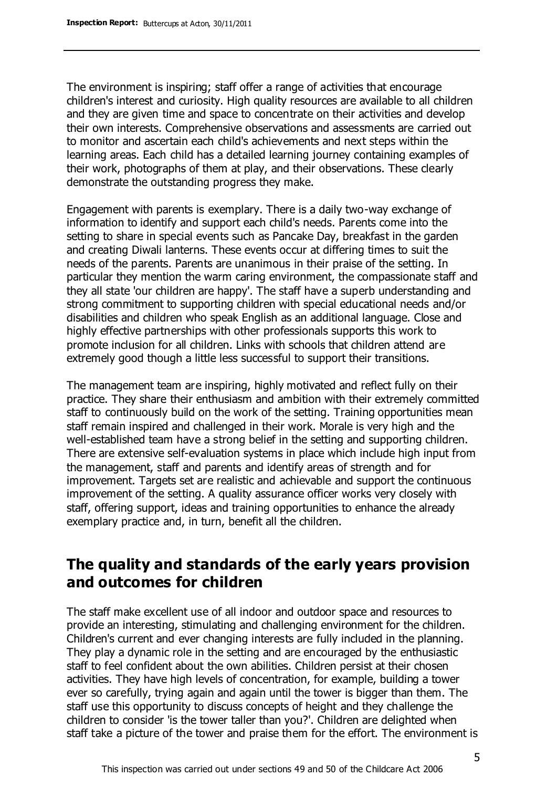The environment is inspiring; staff offer a range of activities that encourage children's interest and curiosity. High quality resources are available to all children and they are given time and space to concentrate on their activities and develop their own interests. Comprehensive observations and assessments are carried out to monitor and ascertain each child's achievements and next steps within the learning areas. Each child has a detailed learning journey containing examples of their work, photographs of them at play, and their observations. These clearly demonstrate the outstanding progress they make.

Engagement with parents is exemplary. There is a daily two-way exchange of information to identify and support each child's needs. Parents come into the setting to share in special events such as Pancake Day, breakfast in the garden and creating Diwali lanterns. These events occur at differing times to suit the needs of the parents. Parents are unanimous in their praise of the setting. In particular they mention the warm caring environment, the compassionate staff and they all state 'our children are happy'. The staff have a superb understanding and strong commitment to supporting children with special educational needs and/or disabilities and children who speak English as an additional language. Close and highly effective partnerships with other professionals supports this work to promote inclusion for all children. Links with schools that children attend are extremely good though a little less successful to support their transitions.

The management team are inspiring, highly motivated and reflect fully on their practice. They share their enthusiasm and ambition with their extremely committed staff to continuously build on the work of the setting. Training opportunities mean staff remain inspired and challenged in their work. Morale is very high and the well-established team have a strong belief in the setting and supporting children. There are extensive self-evaluation systems in place which include high input from the management, staff and parents and identify areas of strength and for improvement. Targets set are realistic and achievable and support the continuous improvement of the setting. A quality assurance officer works very closely with staff, offering support, ideas and training opportunities to enhance the already exemplary practice and, in turn, benefit all the children.

## **The quality and standards of the early years provision and outcomes for children**

The staff make excellent use of all indoor and outdoor space and resources to provide an interesting, stimulating and challenging environment for the children. Children's current and ever changing interests are fully included in the planning. They play a dynamic role in the setting and are encouraged by the enthusiastic staff to feel confident about the own abilities. Children persist at their chosen activities. They have high levels of concentration, for example, building a tower ever so carefully, trying again and again until the tower is bigger than them. The staff use this opportunity to discuss concepts of height and they challenge the children to consider 'is the tower taller than you?'. Children are delighted when staff take a picture of the tower and praise them for the effort. The environment is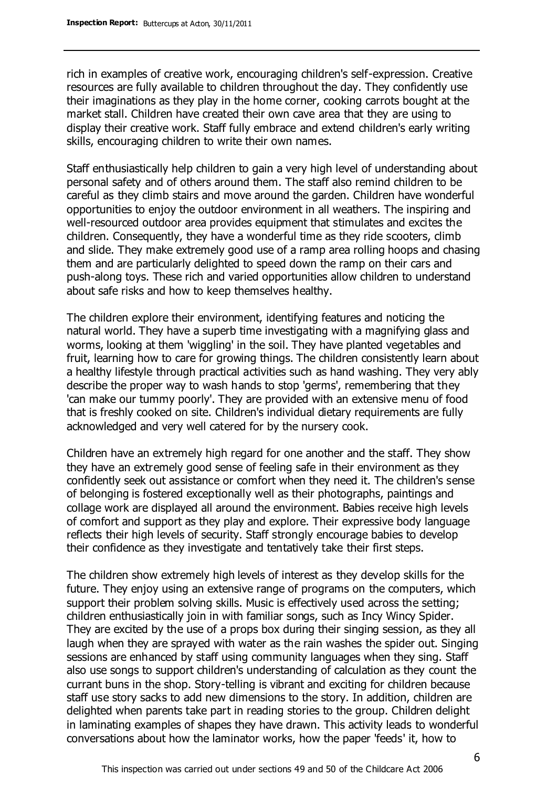rich in examples of creative work, encouraging children's self-expression. Creative resources are fully available to children throughout the day. They confidently use their imaginations as they play in the home corner, cooking carrots bought at the market stall. Children have created their own cave area that they are using to display their creative work. Staff fully embrace and extend children's early writing skills, encouraging children to write their own names.

Staff enthusiastically help children to gain a very high level of understanding about personal safety and of others around them. The staff also remind children to be careful as they climb stairs and move around the garden. Children have wonderful opportunities to enjoy the outdoor environment in all weathers. The inspiring and well-resourced outdoor area provides equipment that stimulates and excites the children. Consequently, they have a wonderful time as they ride scooters, climb and slide. They make extremely good use of a ramp area rolling hoops and chasing them and are particularly delighted to speed down the ramp on their cars and push-along toys. These rich and varied opportunities allow children to understand about safe risks and how to keep themselves healthy.

The children explore their environment, identifying features and noticing the natural world. They have a superb time investigating with a magnifying glass and worms, looking at them 'wiggling' in the soil. They have planted vegetables and fruit, learning how to care for growing things. The children consistently learn about a healthy lifestyle through practical activities such as hand washing. They very ably describe the proper way to wash hands to stop 'germs', remembering that they 'can make our tummy poorly'. They are provided with an extensive menu of food that is freshly cooked on site. Children's individual dietary requirements are fully acknowledged and very well catered for by the nursery cook.

Children have an extremely high regard for one another and the staff. They show they have an extremely good sense of feeling safe in their environment as they confidently seek out assistance or comfort when they need it. The children's sense of belonging is fostered exceptionally well as their photographs, paintings and collage work are displayed all around the environment. Babies receive high levels of comfort and support as they play and explore. Their expressive body language reflects their high levels of security. Staff strongly encourage babies to develop their confidence as they investigate and tentatively take their first steps.

The children show extremely high levels of interest as they develop skills for the future. They enjoy using an extensive range of programs on the computers, which support their problem solving skills. Music is effectively used across the setting; children enthusiastically join in with familiar songs, such as Incy Wincy Spider. They are excited by the use of a props box during their singing session, as they all laugh when they are sprayed with water as the rain washes the spider out. Singing sessions are enhanced by staff using community languages when they sing. Staff also use songs to support children's understanding of calculation as they count the currant buns in the shop. Story-telling is vibrant and exciting for children because staff use story sacks to add new dimensions to the story. In addition, children are delighted when parents take part in reading stories to the group. Children delight in laminating examples of shapes they have drawn. This activity leads to wonderful conversations about how the laminator works, how the paper 'feeds' it, how to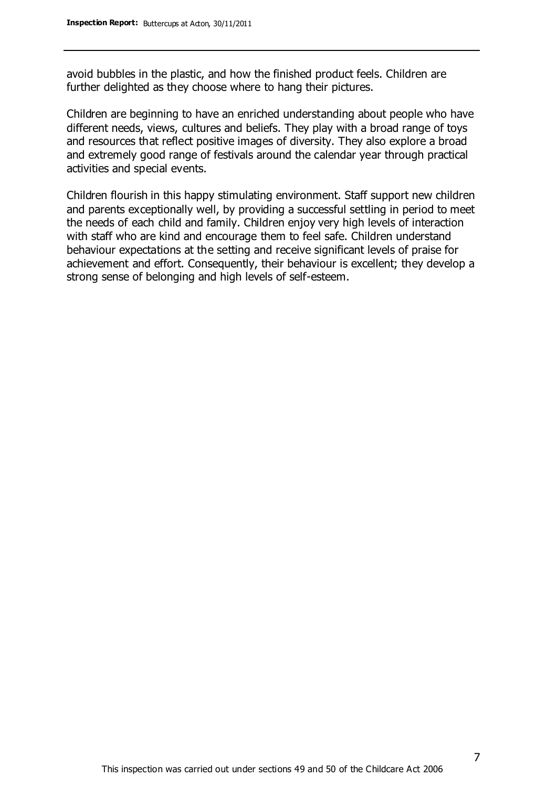avoid bubbles in the plastic, and how the finished product feels. Children are further delighted as they choose where to hang their pictures.

Children are beginning to have an enriched understanding about people who have different needs, views, cultures and beliefs. They play with a broad range of toys and resources that reflect positive images of diversity. They also explore a broad and extremely good range of festivals around the calendar year through practical activities and special events.

Children flourish in this happy stimulating environment. Staff support new children and parents exceptionally well, by providing a successful settling in period to meet the needs of each child and family. Children enjoy very high levels of interaction with staff who are kind and encourage them to feel safe. Children understand behaviour expectations at the setting and receive significant levels of praise for achievement and effort. Consequently, their behaviour is excellent; they develop a strong sense of belonging and high levels of self-esteem.